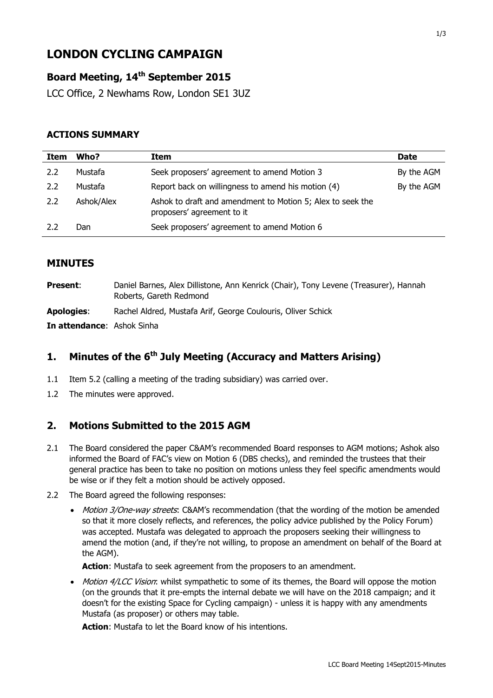# **LONDON CYCLING CAMPAIGN**

# **Board Meeting, 14th September 2015**

LCC Office, 2 Newhams Row, London SE1 3UZ

#### **ACTIONS SUMMARY**

| Item | Who?       | Item                                                                                     | <b>Date</b> |
|------|------------|------------------------------------------------------------------------------------------|-------------|
| 2.2  | Mustafa    | Seek proposers' agreement to amend Motion 3                                              | By the AGM  |
| 2.2  | Mustafa    | Report back on willingness to amend his motion (4)                                       | By the AGM  |
| 2.2  | Ashok/Alex | Ashok to draft and amendment to Motion 5; Alex to seek the<br>proposers' agreement to it |             |
| 2.2  | Dan        | Seek proposers' agreement to amend Motion 6                                              |             |

#### **MINUTES**

| <b>Present:</b>            | Daniel Barnes, Alex Dillistone, Ann Kenrick (Chair), Tony Levene (Treasurer), Hannah<br>Roberts, Gareth Redmond |
|----------------------------|-----------------------------------------------------------------------------------------------------------------|
| <b>Apologies:</b>          | Rachel Aldred, Mustafa Arif, George Coulouris, Oliver Schick                                                    |
| In attendance: Ashok Sinha |                                                                                                                 |

# **1. Minutes of the 6 th July Meeting (Accuracy and Matters Arising)**

- 1.1 Item 5.2 (calling a meeting of the trading subsidiary) was carried over.
- 1.2 The minutes were approved.

# **2. Motions Submitted to the 2015 AGM**

- 2.1 The Board considered the paper C&AM's recommended Board responses to AGM motions; Ashok also informed the Board of FAC's view on Motion 6 (DBS checks), and reminded the trustees that their general practice has been to take no position on motions unless they feel specific amendments would be wise or if they felt a motion should be actively opposed.
- 2.2 The Board agreed the following responses:
	- Motion 3/One-way streets: C&AM's recommendation (that the wording of the motion be amended so that it more closely reflects, and references, the policy advice published by the Policy Forum) was accepted. Mustafa was delegated to approach the proposers seeking their willingness to amend the motion (and, if they're not willing, to propose an amendment on behalf of the Board at the AGM).

Action: Mustafa to seek agreement from the proposers to an amendment.

• Motion 4/LCC Vision: whilst sympathetic to some of its themes, the Board will oppose the motion (on the grounds that it pre-empts the internal debate we will have on the 2018 campaign; and it doesn't for the existing Space for Cycling campaign) - unless it is happy with any amendments Mustafa (as proposer) or others may table.

**Action**: Mustafa to let the Board know of his intentions.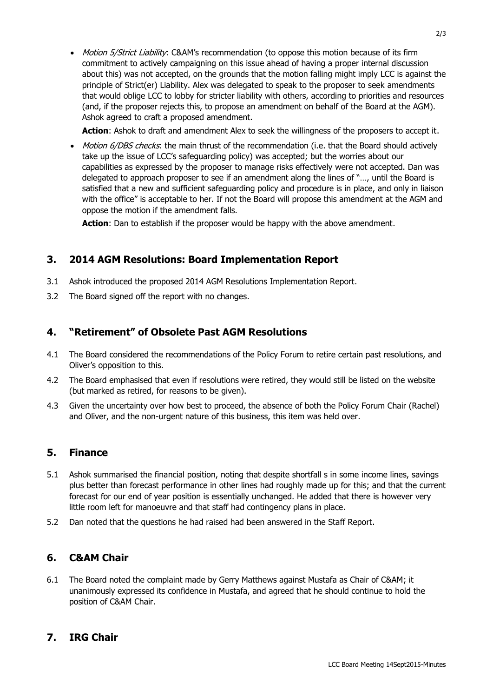• Motion 5/Strict Liability: C&AM's recommendation (to oppose this motion because of its firm commitment to actively campaigning on this issue ahead of having a proper internal discussion about this) was not accepted, on the grounds that the motion falling might imply LCC is against the principle of Strict(er) Liability. Alex was delegated to speak to the proposer to seek amendments that would oblige LCC to lobby for stricter liability with others, according to priorities and resources (and, if the proposer rejects this, to propose an amendment on behalf of the Board at the AGM). Ashok agreed to craft a proposed amendment.

**Action**: Ashok to draft and amendment Alex to seek the willingness of the proposers to accept it.

• Motion 6/DBS checks: the main thrust of the recommendation (i.e. that the Board should actively take up the issue of LCC's safeguarding policy) was accepted; but the worries about our capabilities as expressed by the proposer to manage risks effectively were not accepted. Dan was delegated to approach proposer to see if an amendment along the lines of "…, until the Board is satisfied that a new and sufficient safeguarding policy and procedure is in place, and only in liaison with the office" is acceptable to her. If not the Board will propose this amendment at the AGM and oppose the motion if the amendment falls.

**Action**: Dan to establish if the proposer would be happy with the above amendment.

# **3. 2014 AGM Resolutions: Board Implementation Report**

- 3.1 Ashok introduced the proposed 2014 AGM Resolutions Implementation Report.
- 3.2 The Board signed off the report with no changes.

# **4. "Retirement" of Obsolete Past AGM Resolutions**

- 4.1 The Board considered the recommendations of the Policy Forum to retire certain past resolutions, and Oliver's opposition to this.
- 4.2 The Board emphasised that even if resolutions were retired, they would still be listed on the website (but marked as retired, for reasons to be given).
- 4.3 Given the uncertainty over how best to proceed, the absence of both the Policy Forum Chair (Rachel) and Oliver, and the non-urgent nature of this business, this item was held over.

# **5. Finance**

- 5.1 Ashok summarised the financial position, noting that despite shortfall s in some income lines, savings plus better than forecast performance in other lines had roughly made up for this; and that the current forecast for our end of year position is essentially unchanged. He added that there is however very little room left for manoeuvre and that staff had contingency plans in place.
- 5.2 Dan noted that the questions he had raised had been answered in the Staff Report.

#### **6. C&AM Chair**

6.1 The Board noted the complaint made by Gerry Matthews against Mustafa as Chair of C&AM; it unanimously expressed its confidence in Mustafa, and agreed that he should continue to hold the position of C&AM Chair.

#### **7. IRG Chair**